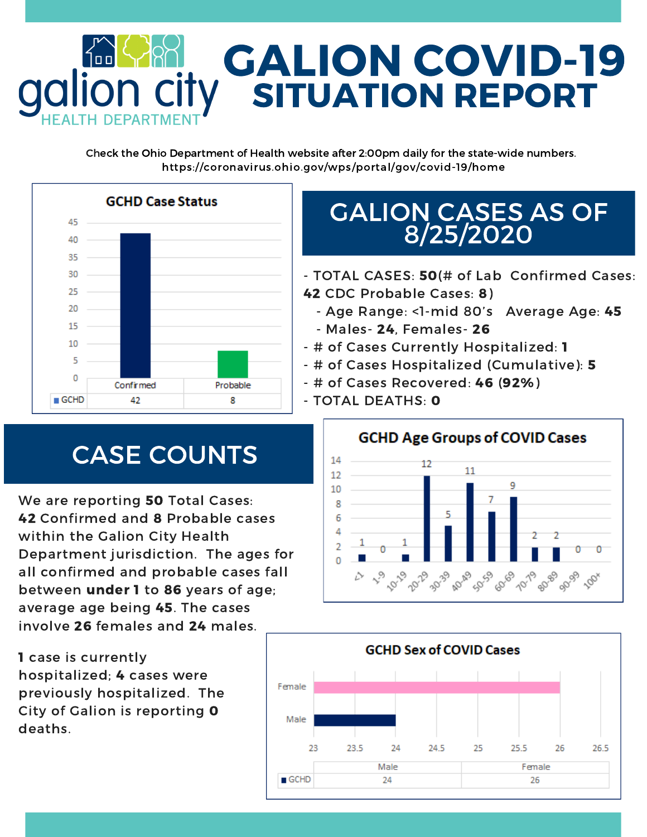

Check the Ohio Department of Health website after 2:00pm daily for the state-wide numbers. https://coronavirus.ohio.gov/wps/portal/gov/covid-19/home



## GALION CASES AS OF 8/25/2020

- TOTAL CASES: 50(# of Lab Confirmed Cases: 42 CDC Probable Cases: 8)

- Age Range: <1-mid 80's Average Age: 45 - Males- 24, Females- 26
- # of Cases Currently Hospitalized: 1
- # of Cases Hospitalized (Cumulative): 5
- # of Cases Recovered: 46 (92%)
- TOTAL DEATHS: 0

14

# CASE COUNTS

We are reporting **50** Total Cases: 42 Confirmed and 8 Probable cases within the Galion City Health Department jurisdiction. The ages for all confirmed and probable cases fall between under 1 to 86 years of age; average age being 45. The cases involve 26 females and 24 males.

**GCHD Age Groups of COVID Cases** 12 11 2909 **AD-AD** 6009 3039 2029 10-19 8999



1 case is currently hospitalized; 4 cases were previously hospitalized. The City of Galion is reporting 0 deaths.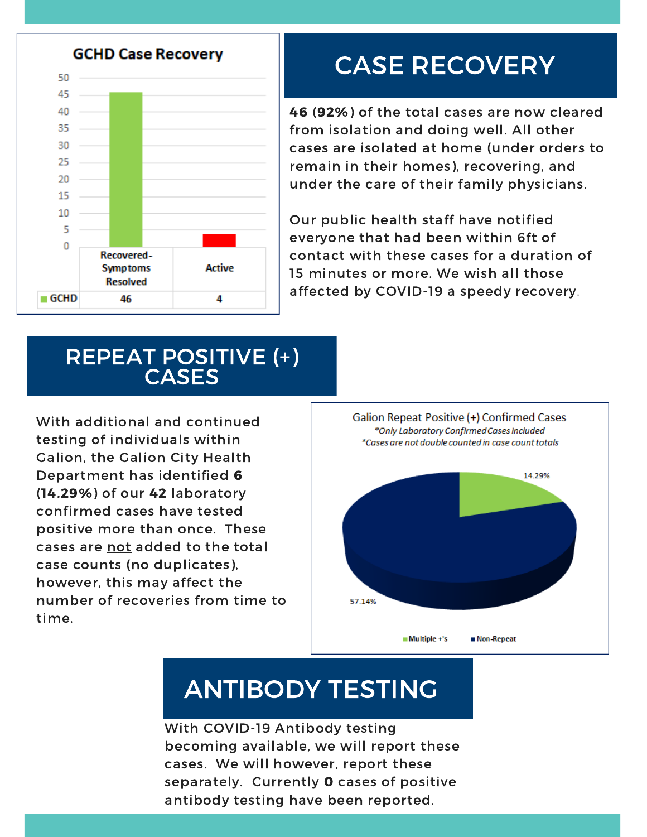

# CASE RECOVERY

46 (92%) of the total cases are now cleared from isolation and doing well. All other cases are isolated at home (under orders to remain in their homes), recovering, and under the care of their family physicians.

Our public health staff have notified everyone that had been within 6ft of contact with these cases for a duration of 15 minutes or more. We wish all those affected by COVID-19 a speedy recovery.

#### REPEAT POSITIVE (+) **CASES**

With additional and continued testing of individuals within Galion, the Galion City Health Department has identified 6 (14.29%) of our 42 laboratory confirmed cases have tested positive more than once. These cases are not added to the total case counts (no duplicates), however, this may affect the number of recoveries from time to time.



# ANTIBODY TESTING

With COVID-19 Antibody testing becoming available, we will report these cases. We will however, report these separately. Currently 0 cases of positive antibody testing have been reported.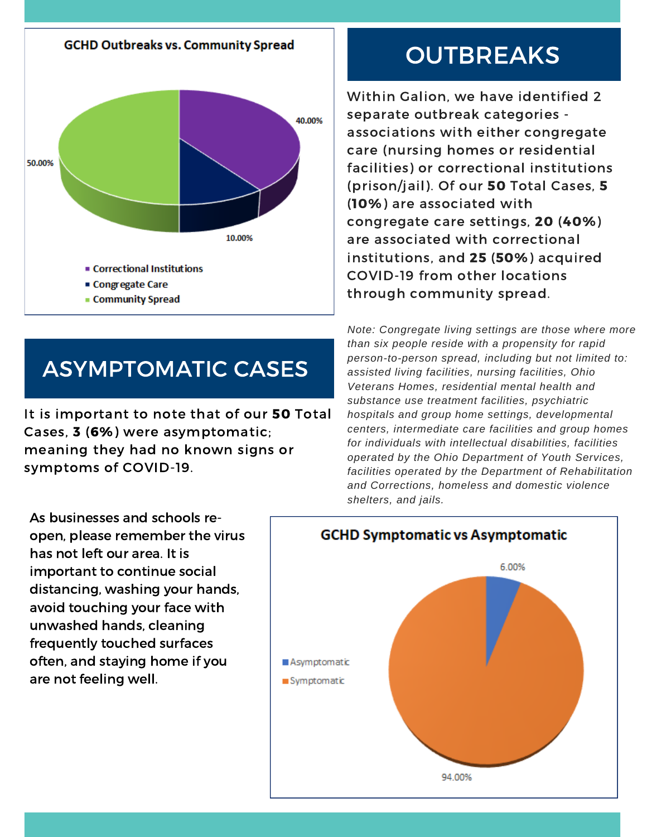

#### ASYMPTOMATIC CASES

It is important to note that of our 50 Total Cases, 3 (6%) were asymptomatic; meaning they had no known signs or symptoms of COVID-19.

As businesses and schools reopen, please remember the virus has not left our area. It is important to continue social distancing, washing your hands, avoid touching your face with unwashed hands, cleaning frequently touched surfaces often, and staying home if you are not feeling well.

## **OUTBREAKS**

Within Galion, we have identified 2 separate outbreak categories associations with either congregate care (nursing homes or residential facilities) or correctional institutions (prison/jail). Of our 50 Total Cases, 5 (10%) are associated with congregate care settings, 20 (40%) are associated with correctional institutions, and 25 (50%) acquired COVID-19 from other locations through community spread.

*Note: Congregate living settings are those where more than six people reside with a propensity for rapid person-to-person spread, including but not limited to: assisted living facilities, nursing facilities, Ohio Veterans Homes, residential mental health and substance use treatment facilities, psychiatric hospitals and group home settings, developmental centers, intermediate care facilities and group homes for individuals with intellectual disabilities, facilities operated by the Ohio Department of Youth Services, facilities operated by the Department of Rehabilitation and Corrections, homeless and domestic violence shelters, and jails.*